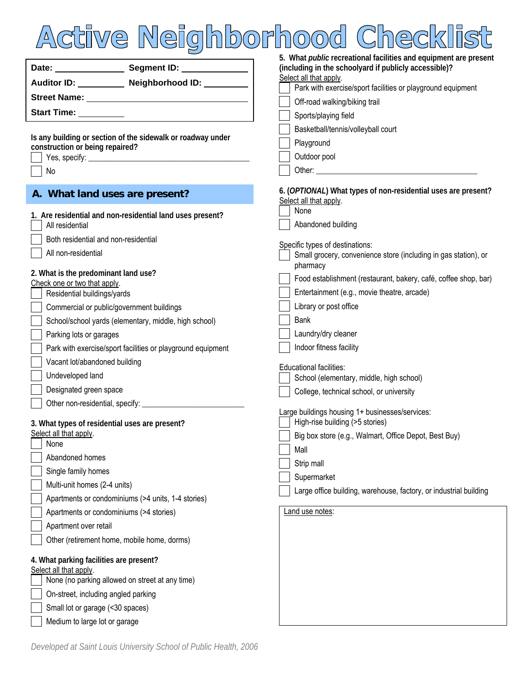

|                                                                          |                                                  | 5. What <i>public</i> recreational facilities and equipment are present                            |
|--------------------------------------------------------------------------|--------------------------------------------------|----------------------------------------------------------------------------------------------------|
|                                                                          |                                                  | (including in the schoolyard if publicly accessible)?                                              |
|                                                                          | Auditor ID: __________ Neighborhood ID: ________ | Select all that apply.<br>Park with exercise/sport facilities or playground equipment              |
|                                                                          |                                                  | Off-road walking/biking trail                                                                      |
| <b>Start Time:</b> Start Time:                                           |                                                  | Sports/playing field                                                                               |
|                                                                          |                                                  | Basketball/tennis/volleyball court                                                                 |
| Is any building or section of the sidewalk or roadway under              |                                                  | Playground                                                                                         |
| construction or being repaired?                                          |                                                  | Outdoor pool                                                                                       |
| No                                                                       |                                                  |                                                                                                    |
|                                                                          |                                                  |                                                                                                    |
| A. What land uses are present?                                           |                                                  | 6. (OPTIONAL) What types of non-residential uses are present?<br>Select all that apply.            |
| 1. Are residential and non-residential land uses present?                |                                                  | None                                                                                               |
| All residential                                                          |                                                  | Abandoned building                                                                                 |
| Both residential and non-residential                                     |                                                  |                                                                                                    |
| All non-residential                                                      |                                                  | Specific types of destinations:<br>Small grocery, convenience store (including in gas station), or |
|                                                                          |                                                  | pharmacy                                                                                           |
| 2. What is the predominant land use?<br>Check one or two that apply.     |                                                  | Food establishment (restaurant, bakery, café, coffee shop, bar)                                    |
| Residential buildings/yards                                              |                                                  | Entertainment (e.g., movie theatre, arcade)                                                        |
| Commercial or public/government buildings                                |                                                  | Library or post office                                                                             |
| School/school yards (elementary, middle, high school)                    |                                                  | <b>Bank</b>                                                                                        |
| Parking lots or garages                                                  |                                                  | Laundry/dry cleaner                                                                                |
| Park with exercise/sport facilities or playground equipment              |                                                  | Indoor fitness facility                                                                            |
| Vacant lot/abandoned building                                            |                                                  | Educational facilities:                                                                            |
| Undeveloped land                                                         |                                                  | School (elementary, middle, high school)                                                           |
| Designated green space                                                   |                                                  | College, technical school, or university                                                           |
|                                                                          |                                                  |                                                                                                    |
|                                                                          |                                                  | Large buildings housing 1+ businesses/services:<br>High-rise building (>5 stories)                 |
| 3. What types of residential uses are present?<br>Select all that apply. |                                                  | Big box store (e.g., Walmart, Office Depot, Best Buy)                                              |
| None                                                                     |                                                  |                                                                                                    |
| Abandoned homes                                                          |                                                  | Mall<br>Strip mall                                                                                 |
| Single family homes                                                      |                                                  | Supermarket                                                                                        |
| Multi-unit homes (2-4 units)                                             |                                                  | Large office building, warehouse, factory, or industrial building                                  |
| Apartments or condominiums (>4 units, 1-4 stories)                       |                                                  |                                                                                                    |
| Apartments or condominiums (>4 stories)                                  |                                                  | Land use notes:                                                                                    |
| Apartment over retail                                                    |                                                  |                                                                                                    |
| Other (retirement home, mobile home, dorms)                              |                                                  |                                                                                                    |
|                                                                          |                                                  |                                                                                                    |
| 4. What parking facilities are present?<br>Select all that apply.        |                                                  |                                                                                                    |
| None (no parking allowed on street at any time)                          |                                                  |                                                                                                    |
| On-street, including angled parking                                      |                                                  |                                                                                                    |
| Small lot or garage (<30 spaces)                                         |                                                  |                                                                                                    |
| Medium to large lot or garage                                            |                                                  |                                                                                                    |

*Developed at Saint Louis University School of Public Health, 2006*